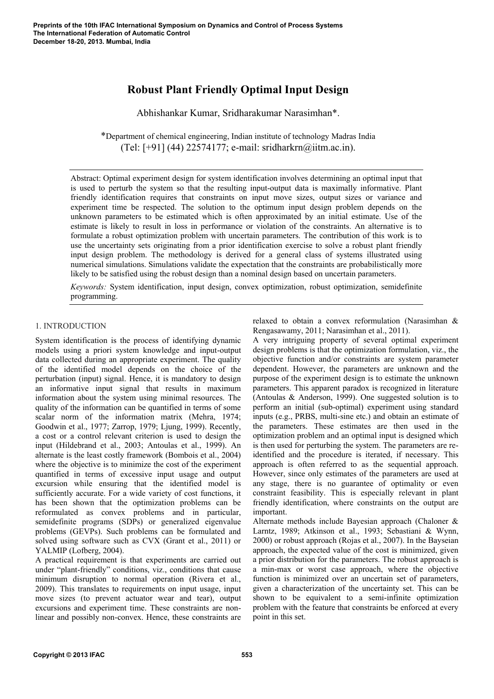# **Robust Plant Friendly Optimal Input Design**

Abhishankar Kumar, Sridharakumar Narasimhan\*.

\*Department of chemical engineering, Indian institute of technology Madras India (Tel: [+91] (44) 22574177; e-mail: sridharkrn@iitm.ac.in).

Abstract: Optimal experiment design for system identification involves determining an optimal input that is used to perturb the system so that the resulting input-output data is maximally informative. Plant friendly identification requires that constraints on input move sizes, output sizes or variance and experiment time be respected. The solution to the optimum input design problem depends on the unknown parameters to be estimated which is often approximated by an initial estimate. Use of the estimate is likely to result in loss in performance or violation of the constraints. An alternative is to formulate a robust optimization problem with uncertain parameters. The contribution of this work is to use the uncertainty sets originating from a prior identification exercise to solve a robust plant friendly input design problem. The methodology is derived for a general class of systems illustrated using numerical simulations. Simulations validate the expectation that the constraints are probabilistically more likely to be satisfied using the robust design than a nominal design based on uncertain parameters.

*Keywords:* System identification, input design, convex optimization, robust optimization, semidefinite programming.

# 1. INTRODUCTION

System identification is the process of identifying dynamic models using a priori system knowledge and input-output data collected during an appropriate experiment. The quality of the identified model depends on the choice of the perturbation (input) signal. Hence, it is mandatory to design an informative input signal that results in maximum information about the system using minimal resources. The quality of the information can be quantified in terms of some scalar norm of the information matrix (Mehra, 1974; Goodwin et al., 1977; Zarrop, 1979; Ljung, 1999). Recently, a cost or a control relevant criterion is used to design the input (Hildebrand et al., 2003; Antoulas et al., 1999). An alternate is the least costly framework (Bombois et al., 2004) where the objective is to minimize the cost of the experiment quantified in terms of excessive input usage and output excursion while ensuring that the identified model is sufficiently accurate. For a wide variety of cost functions, it has been shown that the optimization problems can be reformulated as convex problems and in particular, semidefinite programs (SDPs) or generalized eigenvalue problems (GEVPs). Such problems can be formulated and solved using software such as CVX (Grant et al., 2011) or YALMIP (Lofberg, 2004).

A practical requirement is that experiments are carried out under "plant-friendly" conditions, viz., conditions that cause minimum disruption to normal operation (Rivera et al., 2009). This translates to requirements on input usage, input move sizes (to prevent actuator wear and tear), output excursions and experiment time. These constraints are nonlinear and possibly non-convex. Hence, these constraints are

relaxed to obtain a convex reformulation (Narasimhan & Rengasawamy, 2011; Narasimhan et al., 2011).

A very intriguing property of several optimal experiment design problems is that the optimization formulation, viz., the objective function and/or constraints are system parameter dependent. However, the parameters are unknown and the purpose of the experiment design is to estimate the unknown parameters. This apparent paradox is recognized in literature (Antoulas & Anderson, 1999). One suggested solution is to perform an initial (sub-optimal) experiment using standard inputs (e.g., PRBS, multi-sine etc.) and obtain an estimate of the parameters. These estimates are then used in the optimization problem and an optimal input is designed which is then used for perturbing the system. The parameters are reidentified and the procedure is iterated, if necessary. This approach is often referred to as the sequential approach. However, since only estimates of the parameters are used at any stage, there is no guarantee of optimality or even constraint feasibility. This is especially relevant in plant friendly identification, where constraints on the output are important.

Alternate methods include Bayesian approach (Chaloner & Larntz, 1989; Atkinson et al., 1993; Sebastiani & Wynn, 2000) or robust approach (Rojas et al., 2007). In the Bayseian approach, the expected value of the cost is minimized, given a prior distribution for the parameters. The robust approach is a min-max or worst case approach, where the objective function is minimized over an uncertain set of parameters, given a characterization of the uncertainty set. This can be shown to be equivalent to a semi-infinite optimization problem with the feature that constraints be enforced at every point in this set.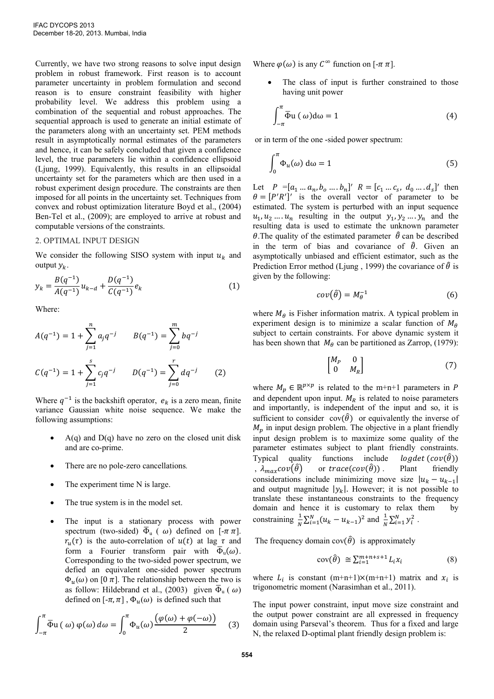Currently, we have two strong reasons to solve input design problem in robust framework. First reason is to account parameter uncertainty in problem formulation and second reason is to ensure constraint feasibility with higher probability level. We address this problem using a combination of the sequential and robust approaches. The sequential approach is used to generate an initial estimate of the parameters along with an uncertainty set. PEM methods result in asymptotically normal estimates of the parameters and hence, it can be safely concluded that given a confidence level, the true parameters lie within a confidence ellipsoid (Ljung, 1999). Equivalently, this results in an ellipsoidal uncertainty set for the parameters which are then used in a robust experiment design procedure. The constraints are then imposed for all points in the uncertainty set. Techniques from convex and robust optimization literature Boyd et al., (2004) Ben-Tel et al., (2009); are employed to arrive at robust and computable versions of the constraints.

## 2. OPTIMAL INPUT DESIGN

We consider the following SISO system with input  $u_k$  and output  $y_k$ .

$$
y_k = \frac{B(q^{-1})}{A(q^{-1})} u_{k-d} + \frac{D(q^{-1})}{C(q^{-1})} e_k
$$
 (1)

Where:

$$
A(q^{-1}) = 1 + \sum_{j=1}^{n} a_j q^{-j} \qquad B(q^{-1}) = \sum_{j=0}^{m} b q^{-j}
$$
  

$$
C(q^{-1}) = 1 + \sum_{j=1}^{s} c_j q^{-j} \qquad D(q^{-1}) = \sum_{j=0}^{r} d q^{-j} \qquad (2)
$$

Where  $q^{-1}$  is the backshift operator,  $e_k$  is a zero mean, finite variance Gaussian white noise sequence. We make the following assumptions:

- $A(q)$  and  $D(q)$  have no zero on the closed unit disk and are co-prime.
- There are no pole-zero cancellations*.*
- The experiment time N is large.
- The true system is in the model set.
- The input is a stationary process with power spectrum (two-sided)  $\overline{\Phi}_{\mathfrak{u}}(\omega)$  defined on  $[-\pi \pi]$ .  $r_u(\tau)$  is the auto-correlation of  $u(t)$  at lag  $\tau$  and form a Fourier transform pair with  $\overline{\Phi}_u(\omega)$ . Corresponding to the two-sided power spectrum, we defied an equivalent one-sided power spectrum  $\Phi_{\nu}(\omega)$  on [0 $\pi$ ]. The relationship between the two is as follow: Hildebrand et al., (2003) given  $\overline{\Phi}_{\mathfrak{u}}(\omega)$ defined on  $[-\pi, \pi]$ ,  $\Phi_u(\omega)$  is defined such that

$$
\int_{-\pi}^{\pi} \overline{\Phi} u(\omega) \varphi(\omega) d\omega = \int_{0}^{\pi} \Phi_{u}(\omega) \frac{(\varphi(\omega) + \varphi(-\omega))}{2} \tag{3}
$$

Where  $\varphi(\omega)$  is any  $C^{\infty}$  function on  $[-\pi \pi]$ .

 The class of input is further constrained to those having unit power

$$
\int_{-\pi}^{\pi} \overline{\Phi} u \, (\,\omega) d\omega = 1 \tag{4}
$$

or in term of the one -sided power spectrum:

$$
\int_0^\pi \Phi_u(\omega) \, d\omega = 1 \tag{5}
$$

Let  $P = [a_1 ... a_n, b_0 ... b_n]'$   $R = [c_1 ... c_s, d_0 ... d_s]'$  then  $\theta = [P'R']'$  is the overall vector of parameter to be estimated. The system is perturbed with an input sequence  $u_1, u_2, \ldots, u_n$  resulting in the output  $y_1, y_2, \ldots, y_n$  and the resulting data is used to estimate the unknown parameter  $\theta$ . The quality of the estimated parameter  $\hat{\theta}$  can be described in the term of bias and covariance of  $\hat{\theta}$ . Given an asymptotically unbiased and efficient estimator, such as the Prediction Error method (Ljung, 1999) the covariance of  $\hat{\theta}$  is given by the following:

$$
cov(\hat{\theta}) = M_{\theta}^{-1} \tag{6}
$$

where  $M_{\theta}$  is Fisher information matrix. A typical problem in experiment design is to minimize a scalar function of  $M_{\theta}$ subject to certain constraints. For above dynamic system it has been shown that  $M_\theta$  can be partitioned as Zarrop, (1979):

$$
\begin{bmatrix} M_P & 0 \\ 0 & M_R \end{bmatrix} \tag{7}
$$

where  $M_p \in \mathbb{R}^{p \times p}$  is related to the m+n+1 parameters in and dependent upon input.  $M_R$  is related to noise parameters and importantly, is independent of the input and so, it is sufficient to consider  $cov(\hat{\theta})$  or equivalently the inverse of  $M_p$  in input design problem. The objective in a plant friendly input design problem is to maximize some quality of the parameter estimates subject to plant friendly constraints. Typical quality functions include *logdet* ( $cov(\hat{\theta})$ ) ,  $\lambda_{max} cov(\hat{\theta})$  or trace(cov( $\hat{\theta}$ )). Plant friendly considerations include minimizing move size  $|u_k - u_{k-1}|$ and output magnitude  $|y_k|$ . However; it is not possible to translate these instantaneous constraints to the frequency domain and hence it is customary to relax them by constraining  $\frac{1}{N} \sum_{i=1}^{N} (u_k - u_{k-1})^2$  and  $\frac{1}{N} \sum_{i=1}^{N} y_i^2$ .

The frequency domain  $cov(\hat{\theta})$  is approximately

$$
cov(\hat{\theta}) \cong \sum_{i=1}^{m+n+s+1} L_i x_i \tag{8}
$$

where  $L_i$  is constant  $(m+n+1) \times (m+n+1)$  matrix and  $x_i$  is trigonometric moment (Narasimhan et al., 2011).

The input power constraint, input move size constraint and the output power constraint are all expressed in frequency domain using Parseval's theorem. Thus for a fixed and large N, the relaxed D-optimal plant friendly design problem is: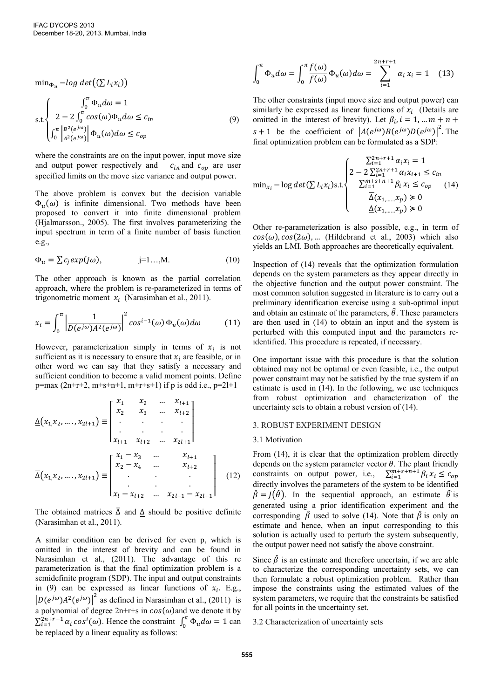min<sub> $\Phi_{ii}$ </sub> –log det $((\sum L_i x_i))$ 

$$
\text{s.t.} \begin{cases} \int_0^{\pi} \Phi_u d\omega = 1\\ 2 - 2 \int_0^{\pi} \cos(\omega) \Phi_u d\omega \le c_{in} \\ \int_0^{\pi} \left| \frac{B^2(e^{j\omega})}{A^2(e^{j\omega})} \right| \Phi_u(\omega) d\omega \le c_{op} \end{cases} \tag{9}
$$

where the constraints are on the input power, input move size and output power respectively and  $c_{in}$  and  $c_{op}$  are user specified limits on the move size variance and output power.

The above problem is convex but the decision variable  $\Phi_u(\omega)$  is infinite dimensional. Two methods have been proposed to convert it into finite dimensional problem (Hjalmarsson., 2005). The first involves parameterizing the input spectrum in term of a finite number of basis function e.g.,

$$
\Phi_u = \sum c_j exp(j\omega), \qquad j=1...,M. \qquad (10)
$$

The other approach is known as the partial correlation approach, where the problem is re-parameterized in terms of trigonometric moment  $x_i$  (Narasimhan et al., 2011).

$$
x_i = \int_0^{\pi} \left| \frac{1}{D(e^{j\omega})A^2(e^{j\omega})} \right|^2 \cos^{i-1}(\omega) \Phi_u(\omega) d\omega \tag{11}
$$

However, parameterization simply in terms of  $x_i$  is not sufficient as it is necessary to ensure that  $x_i$  are feasible, or in other word we can say that they satisfy a necessary and sufficient condition to become a valid moment points. Define  $p=max(2n+r+2, m+s+n+1, m+r+s+1)$  if p is odd i.e.,  $p=2l+1$ 

$$
\underline{\Delta}(x_1, x_2, \dots, x_{2l+1}) = \begin{bmatrix} x_1 & x_2 & \dots & x_{l+1} \\ x_2 & x_3 & \dots & x_{l+2} \\ \vdots & \vdots & \ddots & \vdots \\ x_{l+1} & x_{l+2} & \dots & x_{2l+1} \end{bmatrix}
$$

$$
\overline{\Delta}(x_1, x_2, \dots, x_{2l+1}) = \begin{bmatrix} x_1 - x_3 & \dots & x_{l+1} \\ x_2 - x_4 & \dots & x_{l+2} \\ \vdots & \vdots & \ddots & \vdots \\ x_l - x_{l+2} & \dots & x_{2l-1} - x_{2l+1} \end{bmatrix}
$$
(12)

The obtained matrices  $\overline{\Delta}$  and  $\underline{\Delta}$  should be positive definite (Narasimhan et al., 2011).

A similar condition can be derived for even p, which is omitted in the interest of brevity and can be found in Narasimhan et al., (2011). The advantage of this re parameterization is that the final optimization problem is a semidefinite program (SDP). The input and output constraints in (9) can be expressed as linear functions of  $x_i$ . E.g.,  $\left| D(e^{j\omega})A^2(e^{j\omega}) \right|^2$  as defined in Narasimhan et al., (2011) is a polynomial of degree  $2n+r+s$  in  $cos(\omega)$  and we denote it by  $\sum_{i=1}^{2n+r+1} \alpha_i \cos^i(\omega)$ . Hence the constraint  $\int_0^{\pi} \Phi$  $\int_0^n \Phi_u d\omega = 1$  can be replaced by a linear equality as follows:

$$
\int_0^{\pi} \Phi_u d\omega = \int_0^{\pi} \frac{f(\omega)}{f(\omega)} \Phi_u(\omega) d\omega = \sum_{i=1}^{2n+r+1} \alpha_i x_i = 1 \quad (13)
$$

The other constraints (input move size and output power) can similarly be expressed as linear functions of  $x_i$  (Details are omitted in the interest of brevity). Let  $\beta_i$ ,  $s + 1$  be the coefficient of  $|A(e^{j\omega})B(e^{j\omega})D(e^{j\omega})|^2$ . The final optimization problem can be formulated as a SDP:

$$
\min_{x_i} - \log \det(\sum L_i x_i) \le \frac{\begin{cases} \sum_{i=1}^{2n+r+1} \alpha_i x_i = 1\\ 2 - 2 \sum_{i=1}^{2n+r+1} \alpha_i x_{i+1} \le c_{in} \\ \sum_{i=1}^{m+s+n+1} \beta_i x_i \le c_{op} \\ \overline{\Delta}(x_{1,\dots,x_p}) \ge 0 \end{cases} (14)
$$
\n
$$
\frac{\Delta(x_{1,\dots,x_p}) \ge 0}{\Delta(x_{1,\dots,x_p}) \ge 0}
$$

Other re-parameterization is also possible, e.g., in term of  $cos(\omega)$ ,  $cos(2\omega)$ , ... (Hildebrand et al., 2003) which also yields an LMI. Both approaches are theoretically equivalent.

Inspection of (14) reveals that the optimization formulation depends on the system parameters as they appear directly in the objective function and the output power constraint. The most common solution suggested in literature is to carry out a preliminary identification exercise using a sub-optimal input and obtain an estimate of the parameters,  $\hat{\theta}$ . These parameters are then used in (14) to obtain an input and the system is perturbed with this computed input and the parameters reidentified. This procedure is repeated, if necessary.

One important issue with this procedure is that the solution obtained may not be optimal or even feasible, i.e., the output power constraint may not be satisfied by the true system if an estimate is used in (14). In the following, we use techniques from robust optimization and characterization of the uncertainty sets to obtain a robust version of (14).

# 3. ROBUST EXPERIMENT DESIGN

#### 3.1 Motivation

From (14), it is clear that the optimization problem directly depends on the system parameter vector  $\theta$ . The plant friendly constraints on output power, i.e.,  $\sum_{i=1}^{m+s+n+1} \beta$ directly involves the parameters of the system to be identified  $\hat{\beta} = J(\hat{\theta})$ . In the sequential approach, an estimate  $\hat{\theta}$  is generated using a prior identification experiment and the corresponding  $\hat{\beta}$  used to solve (14). Note that  $\hat{\beta}$  is only an estimate and hence, when an input corresponding to this solution is actually used to perturb the system subsequently, the output power need not satisfy the above constraint.

Since  $\hat{\beta}$  is an estimate and therefore uncertain, if we are able to characterize the corresponding uncertainty sets, we can then formulate a robust optimization problem. Rather than impose the constraints using the estimated values of the system parameters, we require that the constraints be satisfied for all points in the uncertainty set.

# 3.2 Characterization of uncertainty sets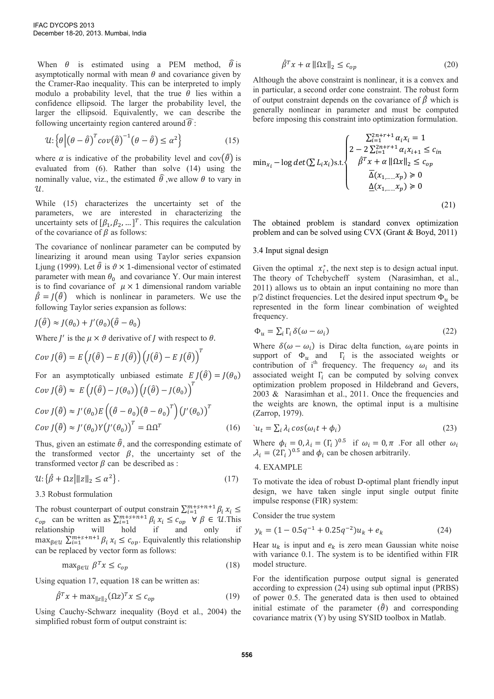When  $\theta$  is estimated using a PEM method,  $\hat{\theta}$  is asymptotically normal with mean  $\theta$  and covariance given by the Cramer-Rao inequality. This can be interpreted to imply modulo a probability level, that the true  $\theta$  lies within a confidence ellipsoid. The larger the probability level, the larger the ellipsoid. Equivalently, we can describe the following uncertainty region cantered around  $\widehat{\theta}$ :

$$
u: \left\{ \theta \left| \left( \theta - \hat{\theta} \right)^{T} cov(\hat{\theta})^{-1} \left( \theta - \hat{\theta} \right) \leq \alpha^{2} \right\} \tag{15}
$$

where  $\alpha$  is indicative of the probability level and cov $(\hat{\theta})$  is evaluated from (6). Rather than solve (14) using the nominally value, viz., the estimated  $\hat{\theta}$ , we allow  $\theta$  to vary in  $u$ .

While (15) characterizes the uncertainty set of the parameters, we are interested in characterizing the uncertainty sets of  $[\beta_1, \beta_2, \dots]^T$ . This requires the calculation of the covariance of  $\beta$  as follows:

The covariance of nonlinear parameter can be computed by linearizing it around mean using Taylor series expansion Ljung (1999). Let  $\hat{\theta}$  is  $\theta \times 1$ -dimensional vector of estimated parameter with mean  $\theta_0$  and covariance Y. Our main interest is to find covariance of  $\mu \times 1$  dimensional random variable  $\hat{\beta} = I(\hat{\theta})$  which is nonlinear in parameters. We use the following Taylor series expansion as follows:

$$
J(\hat{\theta}) \approx J(\theta_0) + J'(\theta_0)(\hat{\theta} - \theta_0)
$$

Where  $J'$  is the  $\mu \times \vartheta$  derivative of  $J$  with respect to

$$
Cov J(\hat{\theta}) = E \left( J(\hat{\theta}) - E J(\hat{\theta}) \right) \left( J(\hat{\theta}) - E J(\hat{\theta}) \right)^T
$$

For an asymptotically unbiased estimate  $E J(\hat{\theta}) = J(\theta_0)$  $Cov J(\hat{\theta}) \approx E\left(J(\hat{\theta}) - J(\theta_0)\right) \left(J(\hat{\theta}) - J(\theta_0)\right)^T$ 

$$
Cov J(\hat{\theta}) \approx J'(\theta_0) E \left( (\hat{\theta} - \theta_0) (\hat{\theta} - \theta_0)^T \right) (J'(\theta_0))^{T}
$$
  
\n
$$
Cov J(\hat{\theta}) \approx J'(\theta_0) Y (J'(\theta_0))^{T} = \Omega \Omega^{T}
$$
\n(16)

Thus, given an estimate  $\hat{\theta}$ , and the corresponding estimate of the transformed vector  $\beta$ , the uncertainty set of the transformed vector  $\beta$  can be described as :

$$
\mathcal{U}:\{\hat{\beta} + \Omega z \|\|z\|_2 \le \alpha^2\}.
$$
\n(17)

# 3.3 Robust formulation

The robust counterpart of output constrain  $\sum_{i=1}^{m+s+n+1} \beta$  $c_{op}$  can be written as  $\sum_{i=1}^{m+s+n+1} \beta_i x_i \le c_{op} \forall \beta \in \mathcal{U}$ . This relationship will hold if and only if max<sub> $\beta \in \mathcal{U}$ </sub>  $\sum_{i=1}^{m+s+n+1} \beta_i x_i \leq c_{op}$ . Equivalently this relationship can be replaced by vector form as follows:

$$
\max_{\beta \in \mathcal{U}} \beta^T x \le c_{op} \tag{18}
$$

Using equation 17, equation 18 can be written as:

$$
\hat{\beta}^T x + \max_{\|z\|_2} (\Omega z)^T x \le c_{op} \tag{19}
$$

Using Cauchy-Schwarz inequality (Boyd et al., 2004) the simplified robust form of output constraint is:

$$
\hat{\beta}^T x + \alpha \|\Omega x\|_2 \le c_{op} \tag{20}
$$

Although the above constraint is nonlinear, it is a convex and in particular, a second order cone constraint. The robust form of output constraint depends on the covariance of  $\hat{\beta}$  which is generally nonlinear in parameter and must be computed before imposing this constraint into optimization formulation.

$$
\min_{x_i} - \log \det(\sum L_i x_i) \text{s.t.} \begin{cases} \sum_{i=1}^{2n+r+1} \alpha_i x_i = 1\\ 2 - 2 \sum_{i=1}^{2n+r+1} \alpha_i x_{i+1} \le c_{in} \\ \hat{\beta}^T x + \alpha \|\Omega x\|_2 \le c_{op} \\ \overline{\Delta}(x_{1,\dots,} x_p) \ge 0 \\ \underline{\Delta}(x_{1,\dots,} x_p) \ge 0 \end{cases} \tag{21}
$$

The obtained problem is standard convex optimization problem and can be solved using CVX (Grant & Boyd, 2011)

## 3.4 Input signal design

Given the optimal  $x_i^*$ , the next step is to design actual input. The theory of Tchebycheff system (Narasimhan, et al., 2011) allows us to obtain an input containing no more than  $p/2$  distinct frequencies. Let the desired input spectrum  $\Phi_{\mu}$  be represented in the form linear combination of weighted frequency.

$$
\Phi_u = \sum_i \Gamma_i \,\delta(\omega - \omega_i) \tag{22}
$$

Where  $\delta(\omega - \omega_i)$  is Dirac delta function,  $\omega_i$  are points in support of  $\Phi_u$  and  $\Gamma_i$  is the associated weights or contribution of i<sup>th</sup> frequency. The frequency  $\omega_i$  and its associated weight  $\Gamma_i$  can be computed by solving convex optimization problem proposed in Hildebrand and Gevers, 2003 & Narasimhan et al., 2011. Once the frequencies and the weights are known, the optimal input is a multisine (Zarrop, 1979).

$$
u_t = \sum_i \lambda_i \cos(\omega_i t + \phi_i)
$$
 (23)

Where  $\phi_i = 0$ ,  $\lambda_i = (\Gamma_i)^{0.5}$  if  $\omega_i = 0, \pi$  . For all other  $\lambda_i = (2\Gamma_i)^{0.5}$  and  $\phi_i$  can be chosen arbitrarily.

#### 4. EXAMPLE

To motivate the idea of robust D-optimal plant friendly input design, we have taken single input single output finite impulse response (FIR) system:

#### Consider the true system

$$
y_k = (1 - 0.5q^{-1} + 0.25q^{-2})u_k + e_k
$$
 (24)

Hear  $u_k$  is input and  $e_k$  is zero mean Gaussian white noise with variance 0.1. The system is to be identified within FIR model structure.

For the identification purpose output signal is generated according to expression (24) using sub optimal input (PRBS) of power 0.5. The generated data is then used to obtained initial estimate of the parameter  $(\hat{\theta})$  and corresponding covariance matrix (Y) by using SYSID toolbox in Matlab.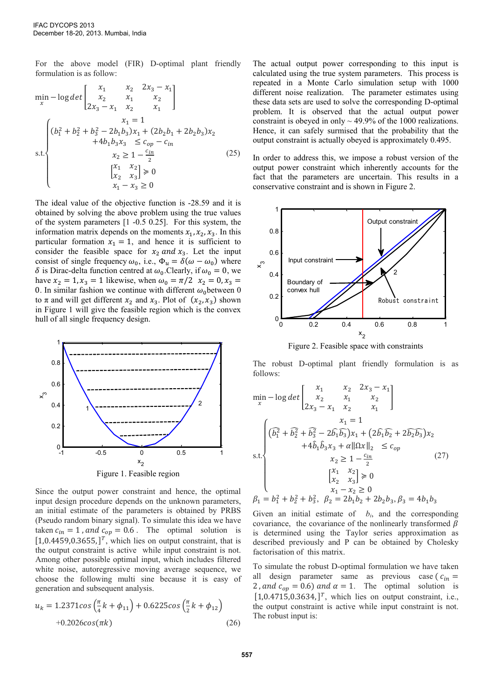For the above model (FIR) D-optimal plant friendly formulation is as follow:

$$
\min_{x} - \log \det \begin{bmatrix} x_1 & x_2 & 2x_3 - x_1 \\ x_2 & x_1 & x_2 \\ 2x_3 - x_1 & x_2 & x_1 \end{bmatrix}
$$
  

$$
= \sum_{k=1}^{n} \frac{x_1 - x_2}{k_1 + k_2 + k_3 - 2b_1b_3} x_1 + (2b_2b_1 + 2b_2b_3) x_2 + 4b_1b_3x_3 \leq c_{op} - c_{in}
$$
  
s.t.  

$$
= \sum_{k=1}^{n} \frac{x_2}{k_1 + k_2 + k_3} = \sum_{k=1}^{n} \frac{x_3}{k_2 + k_3} = 0
$$
  

$$
= \sum_{k=1}^{n} \frac{x_2}{k_1 + k_2 + k_3} = 0
$$

The ideal value of the objective function is -28.59 and it is obtained by solving the above problem using the true values of the system parameters [1 -0.5 0.25]. For this system, the information matrix depends on the moments  $x_1, x_2, x_3$ . In this particular formation  $x_1 = 1$ , and hence it is sufficient to consider the feasible space for  $x_2$  and  $x_3$ . Let the input consist of single frequency  $\omega_0$ , i.e.,  $\Phi_u = \delta(\omega - \omega_0)$  where  $\delta$  is Dirac-delta function centred at  $\omega_0$ . Clearly, if  $\omega_0 = 0$ , we have  $x_2 = 1$ ,  $x_3 = 1$  likewise, when  $\omega_0 = \pi/2$   $x_2 = 0$ ,  $x_3 =$ 0. In similar fashion we continue with different  $\omega_0$  between 0 to  $\pi$  and will get different  $x_2$  and  $x_3$ . Plot of  $(x_2, x_3)$  shown in Figure 1 will give the feasible region which is the convex hull of all single frequency design.



Since the output power constraint and hence, the optimal input design procedure depends on the unknown parameters, an initial estimate of the parameters is obtained by PRBS (Pseudo random binary signal). To simulate this idea we have taken  $c_{in} = 1$ , and  $c_{op} = 0.6$ . The optimal solution is  $[1,0.4459,0.3655,$ ]<sup>T</sup>, which lies on output constraint, that is the output constraint is active while input constraint is not. Among other possible optimal input, which includes filtered white noise, autoregressive moving average sequence, we choose the following multi sine because it is easy of generation and subsequent analysis.

$$
u_k = 1.2371 \cos\left(\frac{\pi}{4}k + \phi_{11}\right) + 0.6225 \cos\left(\frac{\pi}{2}k + \phi_{12}\right) + 0.2026 \cos(\pi k)
$$
 (26)

The actual output power corresponding to this input is calculated using the true system parameters. This process is repeated in a Monte Carlo simulation setup with 1000 different noise realization. The parameter estimates using these data sets are used to solve the corresponding D-optimal problem. It is observed that the actual output power constraint is obeyed in only  $\sim$  49.9% of the 1000 realizations. Hence, it can safely surmised that the probability that the output constraint is actually obeyed is approximately 0.495.

In order to address this, we impose a robust version of the output power constraint which inherently accounts for the fact that the parameters are uncertain. This results in a conservative constraint and is shown in Figure 2.



Figure 2. Feasible space with constraints

The robust D-optimal plant friendly formulation is as follows:

$$
\min_{x} - \log \det \begin{bmatrix} x_1 & x_2 & 2x_3 - x_1 \\ x_2 & x_1 & x_2 \\ 2x_3 - x_1 & x_2 & x_1 \end{bmatrix}
$$
\n
$$
x_1 = 1
$$
\n
$$
\sum_{k=1}^{\infty} \left( \widehat{b_1^2} + \widehat{b_2^2} + \widehat{b_3^2} - 2\widehat{b_1 b_3} x_1 + (2\widehat{b_1 b_2} + 2\widehat{b_2 b_3}) x_2 + 4\widehat{b_1 b_3} x_3 + \alpha \|\Omega x\|_2 \le c_{op}
$$
\n
$$
x_2 \ge 1 - \frac{c_{in}}{2}
$$
\n
$$
\begin{aligned}\nx_1 & x_2 \\
x_2 & x_3\n\end{aligned} \right) \ge 0
$$
\n
$$
\beta_1 = b_1^2 + b_2^2 + b_3^2, \quad \beta_2 = 2b_1 b_2 + 2b_2 b_3, \beta_3 = 4b_1 b_3
$$

Given an initial estimate of  $b_i$ , and the corresponding covariance, the covariance of the nonlinearly transformed  $\beta$ is determined using the Taylor series approximation as described previously and P can be obtained by Cholesky factorisation of this matrix.

To simulate the robust D-optimal formulation we have taken all design parameter same as previous case ( $c_{in}$  = 2, and  $c_{op} = 0.6$ ) and  $\alpha = 1$ . The optimal solution is  $[1,0.4715,0.3634,$ ]<sup>T</sup>, which lies on output constraint, i.e., the output constraint is active while input constraint is not. The robust input is: